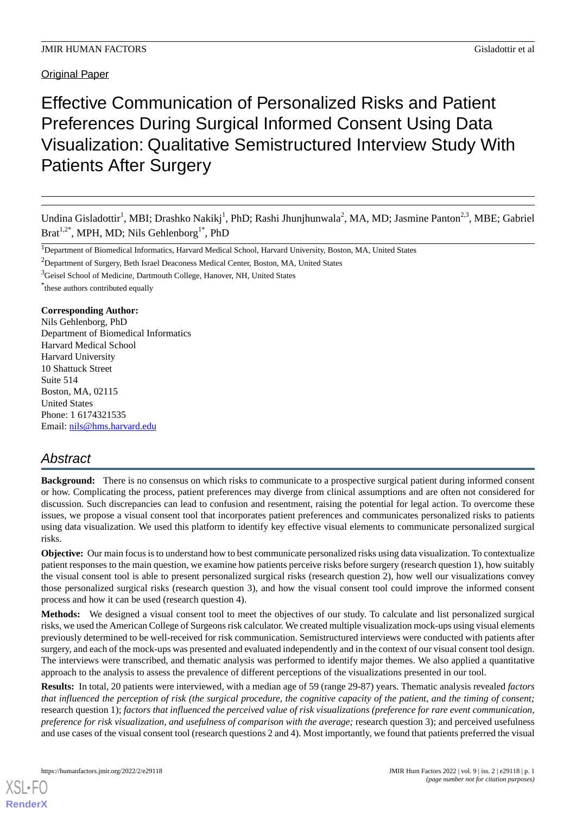# Effective Communication of Personalized Risks and Patient Preferences During Surgical Informed Consent Using Data Visualization: Qualitative Semistructured Interview Study With Patients After Surgery

Undina Gisladottir<sup>1</sup>, MBI; Drashko Nakikj<sup>1</sup>, PhD; Rashi Jhunjhunwala<sup>2</sup>, MA, MD; Jasmine Panton<sup>2,3</sup>, MBE; Gabriel Brat<sup>1,2\*</sup>, MPH, MD; Nils Gehlenborg<sup>1\*</sup>, PhD

<sup>3</sup>Geisel School of Medicine, Dartmouth College, Hanover, NH, United States

\* these authors contributed equally

## **Corresponding Author:**

Nils Gehlenborg, PhD Department of Biomedical Informatics Harvard Medical School Harvard University 10 Shattuck Street Suite 514 Boston, MA, 02115 United States Phone: 1 6174321535 Email: [nils@hms.harvard.edu](mailto:nils@hms.harvard.edu)

## *Abstract*

**Background:** There is no consensus on which risks to communicate to a prospective surgical patient during informed consent or how. Complicating the process, patient preferences may diverge from clinical assumptions and are often not considered for discussion. Such discrepancies can lead to confusion and resentment, raising the potential for legal action. To overcome these issues, we propose a visual consent tool that incorporates patient preferences and communicates personalized risks to patients using data visualization. We used this platform to identify key effective visual elements to communicate personalized surgical risks.

**Objective:** Our main focus is to understand how to best communicate personalized risks using data visualization. To contextualize patient responses to the main question, we examine how patients perceive risks before surgery (research question 1), how suitably the visual consent tool is able to present personalized surgical risks (research question 2), how well our visualizations convey those personalized surgical risks (research question 3), and how the visual consent tool could improve the informed consent process and how it can be used (research question 4).

**Methods:** We designed a visual consent tool to meet the objectives of our study. To calculate and list personalized surgical risks, we used the American College of Surgeons risk calculator. We created multiple visualization mock-ups using visual elements previously determined to be well-received for risk communication. Semistructured interviews were conducted with patients after surgery, and each of the mock-ups was presented and evaluated independently and in the context of our visual consent tool design. The interviews were transcribed, and thematic analysis was performed to identify major themes. We also applied a quantitative approach to the analysis to assess the prevalence of different perceptions of the visualizations presented in our tool.

**Results:** In total, 20 patients were interviewed, with a median age of 59 (range 29-87) years. Thematic analysis revealed *factors that influenced the perception of risk (the surgical procedure, the cognitive capacity of the patient, and the timing of consent;* research question 1); *factors that influenced the perceived value of risk visualizations (preference for rare event communication, preference for risk visualization, and usefulness of comparison with the average;* research question 3); and perceived usefulness and use cases of the visual consent tool (research questions 2 and 4). Most importantly, we found that patients preferred the visual

<sup>&</sup>lt;sup>1</sup>Department of Biomedical Informatics, Harvard Medical School, Harvard University, Boston, MA, United States

<sup>&</sup>lt;sup>2</sup>Department of Surgery, Beth Israel Deaconess Medical Center, Boston, MA, United States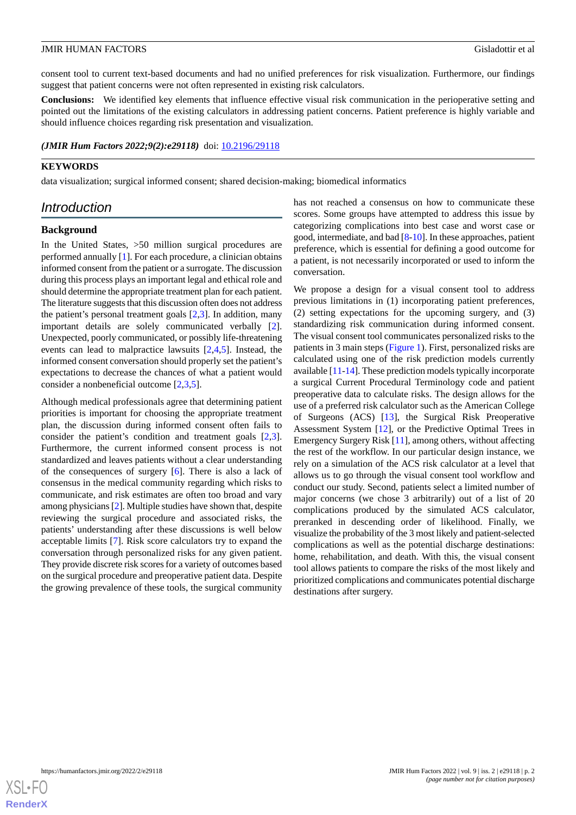consent tool to current text-based documents and had no unified preferences for risk visualization. Furthermore, our findings suggest that patient concerns were not often represented in existing risk calculators.

**Conclusions:** We identified key elements that influence effective visual risk communication in the perioperative setting and pointed out the limitations of the existing calculators in addressing patient concerns. Patient preference is highly variable and should influence choices regarding risk presentation and visualization.

#### *(JMIR Hum Factors 2022;9(2):e29118)* doi: [10.2196/29118](http://dx.doi.org/10.2196/29118)

## **KEYWORDS**

data visualization; surgical informed consent; shared decision-making; biomedical informatics

## *Introduction*

#### **Background**

In the United States, >50 million surgical procedures are performed annually [\[1](#page-12-0)]. For each procedure, a clinician obtains informed consent from the patient or a surrogate. The discussion during this process plays an important legal and ethical role and should determine the appropriate treatment plan for each patient. The literature suggests that this discussion often does not address the patient's personal treatment goals [\[2](#page-12-1)[,3\]](#page-12-2). In addition, many important details are solely communicated verbally [[2\]](#page-12-1). Unexpected, poorly communicated, or possibly life-threatening events can lead to malpractice lawsuits [[2](#page-12-1)[,4](#page-12-3),[5\]](#page-12-4). Instead, the informed consent conversation should properly set the patient's expectations to decrease the chances of what a patient would consider a nonbeneficial outcome [[2](#page-12-1)[,3](#page-12-2),[5\]](#page-12-4).

Although medical professionals agree that determining patient priorities is important for choosing the appropriate treatment plan, the discussion during informed consent often fails to consider the patient's condition and treatment goals [\[2](#page-12-1),[3\]](#page-12-2). Furthermore, the current informed consent process is not standardized and leaves patients without a clear understanding of the consequences of surgery [\[6](#page-13-0)]. There is also a lack of consensus in the medical community regarding which risks to communicate, and risk estimates are often too broad and vary among physicians [\[2](#page-12-1)]. Multiple studies have shown that, despite reviewing the surgical procedure and associated risks, the patients' understanding after these discussions is well below acceptable limits [[7\]](#page-13-1). Risk score calculators try to expand the conversation through personalized risks for any given patient. They provide discrete risk scores for a variety of outcomes based on the surgical procedure and preoperative patient data. Despite the growing prevalence of these tools, the surgical community

has not reached a consensus on how to communicate these scores. Some groups have attempted to address this issue by categorizing complications into best case and worst case or good, intermediate, and bad [\[8](#page-13-2)[-10](#page-13-3)]. In these approaches, patient preference, which is essential for defining a good outcome for a patient, is not necessarily incorporated or used to inform the conversation.

We propose a design for a visual consent tool to address previous limitations in (1) incorporating patient preferences, (2) setting expectations for the upcoming surgery, and (3) standardizing risk communication during informed consent. The visual consent tool communicates personalized risks to the patients in 3 main steps [\(Figure 1\)](#page-2-0). First, personalized risks are calculated using one of the risk prediction models currently available [[11-](#page-13-4)[14\]](#page-13-5). These prediction models typically incorporate a surgical Current Procedural Terminology code and patient preoperative data to calculate risks. The design allows for the use of a preferred risk calculator such as the American College of Surgeons (ACS) [\[13](#page-13-6)], the Surgical Risk Preoperative Assessment System [\[12](#page-13-7)], or the Predictive Optimal Trees in Emergency Surgery Risk [\[11](#page-13-4)], among others, without affecting the rest of the workflow. In our particular design instance, we rely on a simulation of the ACS risk calculator at a level that allows us to go through the visual consent tool workflow and conduct our study. Second, patients select a limited number of major concerns (we chose 3 arbitrarily) out of a list of 20 complications produced by the simulated ACS calculator, preranked in descending order of likelihood. Finally, we visualize the probability of the 3 most likely and patient-selected complications as well as the potential discharge destinations: home, rehabilitation, and death. With this, the visual consent tool allows patients to compare the risks of the most likely and prioritized complications and communicates potential discharge destinations after surgery.

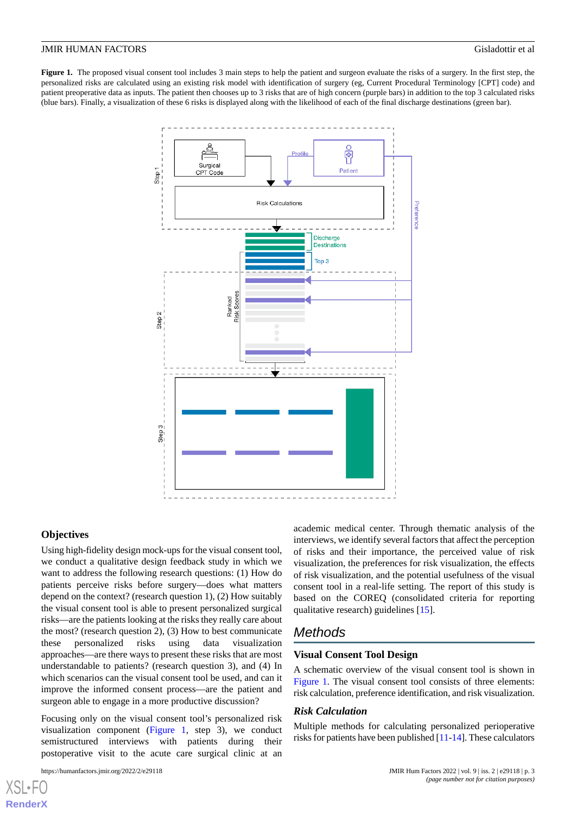<span id="page-2-0"></span>**Figure 1.** The proposed visual consent tool includes 3 main steps to help the patient and surgeon evaluate the risks of a surgery. In the first step, the personalized risks are calculated using an existing risk model with identification of surgery (eg, Current Procedural Terminology [CPT] code) and patient preoperative data as inputs. The patient then chooses up to 3 risks that are of high concern (purple bars) in addition to the top 3 calculated risks (blue bars). Finally, a visualization of these 6 risks is displayed along with the likelihood of each of the final discharge destinations (green bar).



#### **Objectives**

Using high-fidelity design mock-ups for the visual consent tool, we conduct a qualitative design feedback study in which we want to address the following research questions: (1) How do patients perceive risks before surgery—does what matters depend on the context? (research question 1), (2) How suitably the visual consent tool is able to present personalized surgical risks—are the patients looking at the risks they really care about the most? (research question 2), (3) How to best communicate these personalized risks using data visualization approaches—are there ways to present these risks that are most understandable to patients? (research question 3), and (4) In which scenarios can the visual consent tool be used, and can it improve the informed consent process—are the patient and surgeon able to engage in a more productive discussion?

Focusing only on the visual consent tool's personalized risk visualization component ([Figure 1](#page-2-0), step 3), we conduct semistructured interviews with patients during their postoperative visit to the acute care surgical clinic at an

academic medical center. Through thematic analysis of the interviews, we identify several factors that affect the perception of risks and their importance, the perceived value of risk visualization, the preferences for risk visualization, the effects of risk visualization, and the potential usefulness of the visual consent tool in a real-life setting. The report of this study is based on the COREQ (consolidated criteria for reporting qualitative research) guidelines [\[15](#page-13-8)].

## *Methods*

#### **Visual Consent Tool Design**

A schematic overview of the visual consent tool is shown in [Figure 1](#page-2-0). The visual consent tool consists of three elements: risk calculation, preference identification, and risk visualization.

#### *Risk Calculation*

Multiple methods for calculating personalized perioperative risks for patients have been published [\[11](#page-13-4)[-14](#page-13-5)]. These calculators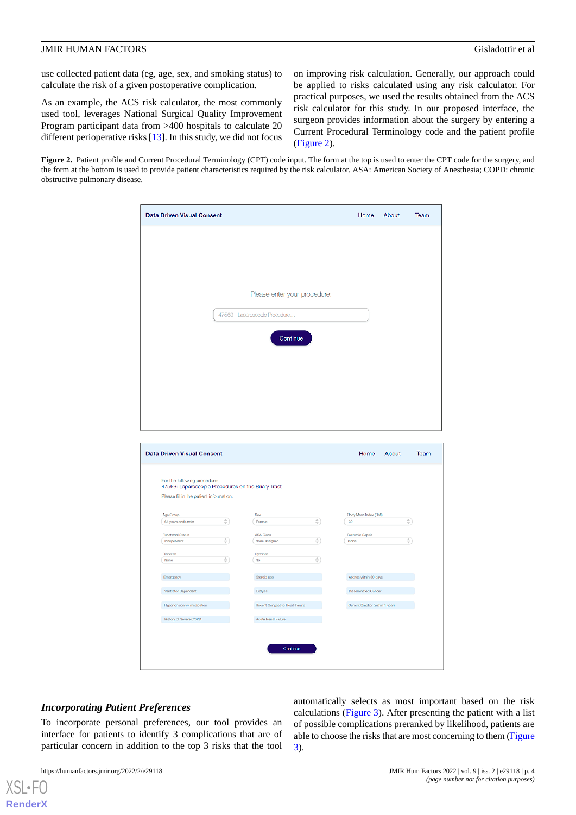use collected patient data (eg, age, sex, and smoking status) to calculate the risk of a given postoperative complication.

As an example, the ACS risk calculator, the most commonly used tool, leverages National Surgical Quality Improvement Program participant data from >400 hospitals to calculate 20 different perioperative risks [\[13](#page-13-6)]. In this study, we did not focus on improving risk calculation. Generally, our approach could be applied to risks calculated using any risk calculator. For practical purposes, we used the results obtained from the ACS risk calculator for this study. In our proposed interface, the surgeon provides information about the surgery by entering a Current Procedural Terminology code and the patient profile ([Figure 2\)](#page-3-0).

<span id="page-3-0"></span>**Figure 2.** Patient profile and Current Procedural Terminology (CPT) code input. The form at the top is used to enter the CPT code for the surgery, and the form at the bottom is used to provide patient characteristics required by the risk calculator. ASA: American Society of Anesthesia; COPD: chronic obstructive pulmonary disease.

| <b>Data Driven Visual Consent</b>                                                                                              |              |                                 |                     | Home                           | About | Team         |
|--------------------------------------------------------------------------------------------------------------------------------|--------------|---------------------------------|---------------------|--------------------------------|-------|--------------|
|                                                                                                                                |              |                                 |                     |                                |       |              |
|                                                                                                                                |              | Please enter your procedure:    |                     |                                |       |              |
|                                                                                                                                |              | 47563 - Laparoscopic Procedure  |                     |                                |       |              |
|                                                                                                                                |              | Continue                        |                     |                                |       |              |
|                                                                                                                                |              |                                 |                     |                                |       |              |
|                                                                                                                                |              |                                 |                     |                                |       |              |
|                                                                                                                                |              |                                 |                     |                                |       |              |
| <b>Data Driven Visual Consent</b>                                                                                              |              |                                 |                     | Home                           | About | Team         |
| For the following procedure:<br>47563: Laparoscopic Procedures on the Biliary Tract<br>Please fill in the patient information: |              |                                 |                     |                                |       |              |
|                                                                                                                                |              |                                 |                     |                                |       |              |
| Age Group                                                                                                                      |              | ${\sf Sex}$                     |                     | Body Mass Index (BMI)          |       |              |
| 65 years and under                                                                                                             | ÷)           | Female                          | $\hat{\mathcal{L}}$ | 30                             |       | ÷)           |
| <b>Functional Status</b>                                                                                                       |              | ASA Class                       |                     | Systemic Sepsis                |       |              |
| Independent                                                                                                                    | €            | None Assigned                   | $\hat{\div}$        | (None                          |       | $\hat{\div}$ |
| <b>Diabetes</b><br>None                                                                                                        | $\hat{\div}$ | Dyspnea<br>(No)                 | ÷)                  |                                |       |              |
| Emergency                                                                                                                      |              | Steroid use                     |                     | Ascites within 30 days         |       |              |
| Ventilator Dependent                                                                                                           |              | Dialysis                        |                     | <b>Disseminated Cancer</b>     |       |              |
| Hypertension w/ medication                                                                                                     |              | Recent Congestive Heart Failure |                     | Current Smoker (within 1 year) |       |              |
| History of Severe COPD                                                                                                         |              | Acute Renal Failure             |                     |                                |       |              |
|                                                                                                                                |              |                                 |                     |                                |       |              |

## *Incorporating Patient Preferences*

To incorporate personal preferences, our tool provides an interface for patients to identify 3 complications that are of particular concern in addition to the top 3 risks that the tool

[XSL](http://www.w3.org/Style/XSL)•FO **[RenderX](http://www.renderx.com/)**

automatically selects as most important based on the risk calculations ([Figure 3](#page-4-0)). After presenting the patient with a list of possible complications preranked by likelihood, patients are able to choose the risks that are most concerning to them [\(Figure](#page-4-0) [3\)](#page-4-0).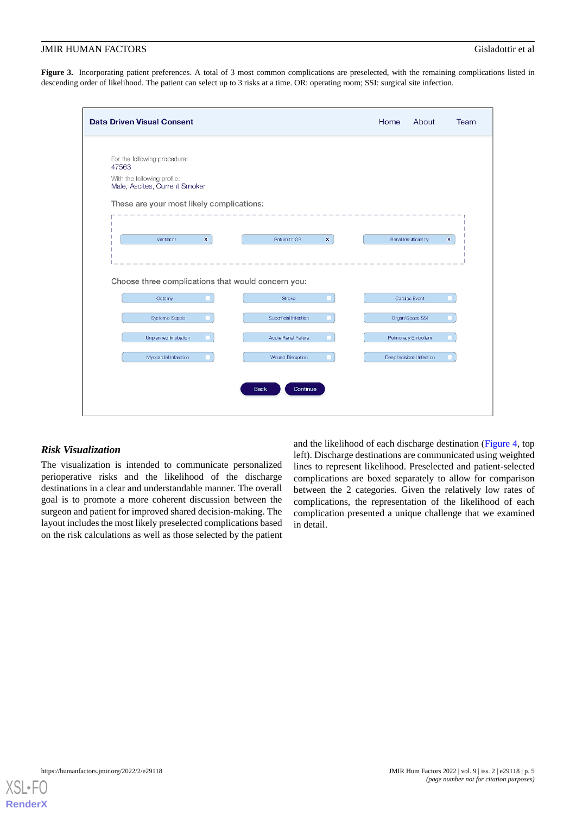<span id="page-4-0"></span>Figure 3. Incorporating patient preferences. A total of 3 most common complications are preselected, with the remaining complications listed in descending order of likelihood. The patient can select up to 3 risks at a time. OR: operating room; SSI: surgical site infection.

| <b>Data Driven Visual Consent</b>                            |                             | Home<br>About                                    | Team |
|--------------------------------------------------------------|-----------------------------|--------------------------------------------------|------|
|                                                              |                             |                                                  |      |
| For the following procedure:<br>47563                        |                             |                                                  |      |
| With the following profile:<br>Male, Ascites, Current Smoker |                             |                                                  |      |
| These are your most likely complications:                    |                             |                                                  |      |
| Ventilator<br>$\mathbf x$                                    | $\mathbf x$<br>Return to OR | $\boldsymbol{\mathsf{x}}$<br>Renal Insufficiency |      |
|                                                              |                             |                                                  |      |
| Choose three complications that would concern you:           |                             |                                                  |      |
| Ostomy                                                       | Stroke                      | Cardiac Event                                    |      |
| <b>Systemic Sepsis</b>                                       | Superficial Infection       | Organ/Space SSI                                  |      |
| Unplanned Intubation                                         | Acute Renal Failure         | Pulmonary Embolism                               |      |
|                                                              |                             | Deep Incisional Infection                        |      |
| Myocardial Infarction                                        | <b>Wound Disruption</b>     |                                                  |      |
|                                                              |                             |                                                  |      |
|                                                              | Continue<br><b>Back</b>     |                                                  |      |

## *Risk Visualization*

The visualization is intended to communicate personalized perioperative risks and the likelihood of the discharge destinations in a clear and understandable manner. The overall goal is to promote a more coherent discussion between the surgeon and patient for improved shared decision-making. The layout includes the most likely preselected complications based on the risk calculations as well as those selected by the patient

and the likelihood of each discharge destination [\(Figure 4,](#page-5-0) top left). Discharge destinations are communicated using weighted lines to represent likelihood. Preselected and patient-selected complications are boxed separately to allow for comparison between the 2 categories. Given the relatively low rates of complications, the representation of the likelihood of each complication presented a unique challenge that we examined in detail.

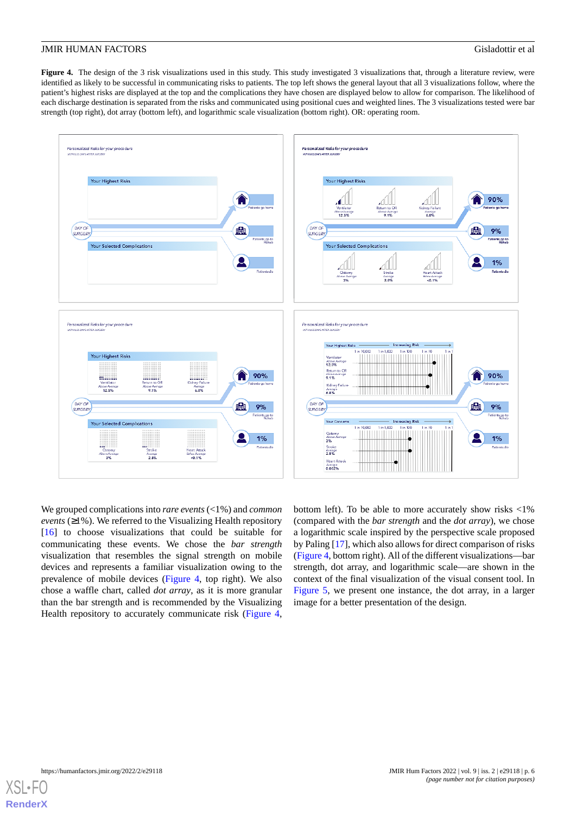<span id="page-5-0"></span>Figure 4. The design of the 3 risk visualizations used in this study. This study investigated 3 visualizations that, through a literature review, were identified as likely to be successful in communicating risks to patients. The top left shows the general layout that all 3 visualizations follow, where the patient's highest risks are displayed at the top and the complications they have chosen are displayed below to allow for comparison. The likelihood of each discharge destination is separated from the risks and communicated using positional cues and weighted lines. The 3 visualizations tested were bar strength (top right), dot array (bottom left), and logarithmic scale visualization (bottom right). OR: operating room.



We grouped complications into *rare events* (<1%) and *common events* ( $\geq$ 1%). We referred to the Visualizing Health repository [[16\]](#page-13-9) to choose visualizations that could be suitable for communicating these events. We chose the *bar strength* visualization that resembles the signal strength on mobile devices and represents a familiar visualization owing to the prevalence of mobile devices ([Figure 4](#page-5-0), top right). We also chose a waffle chart, called *dot array*, as it is more granular than the bar strength and is recommended by the Visualizing Health repository to accurately communicate risk [\(Figure 4](#page-5-0),

bottom left). To be able to more accurately show risks <1% (compared with the *bar strength* and the *dot array*), we chose a logarithmic scale inspired by the perspective scale proposed by Paling [\[17](#page-13-10)], which also allows for direct comparison of risks ([Figure 4,](#page-5-0) bottom right). All of the different visualizations—bar strength, dot array, and logarithmic scale—are shown in the context of the final visualization of the visual consent tool. In [Figure 5,](#page-6-0) we present one instance, the dot array, in a larger image for a better presentation of the design.

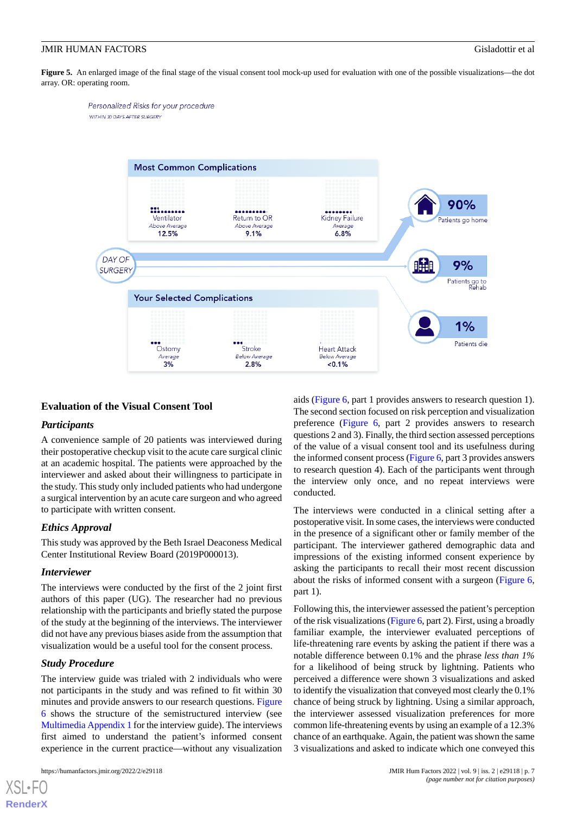Personalized Risks for your procedure

WITHIN 30 DAYS AFTER SURGERY

<span id="page-6-0"></span>Figure 5. An enlarged image of the final stage of the visual consent tool mock-up used for evaluation with one of the possible visualizations—the dot array. OR: operating room.



## **Evaluation of the Visual Consent Tool**

## *Participants*

A convenience sample of 20 patients was interviewed during their postoperative checkup visit to the acute care surgical clinic at an academic hospital. The patients were approached by the interviewer and asked about their willingness to participate in the study. This study only included patients who had undergone a surgical intervention by an acute care surgeon and who agreed to participate with written consent.

## *Ethics Approval*

This study was approved by the Beth Israel Deaconess Medical Center Institutional Review Board (2019P000013).

## *Interviewer*

The interviews were conducted by the first of the 2 joint first authors of this paper (UG). The researcher had no previous relationship with the participants and briefly stated the purpose of the study at the beginning of the interviews. The interviewer did not have any previous biases aside from the assumption that visualization would be a useful tool for the consent process.

## *Study Procedure*

[XSL](http://www.w3.org/Style/XSL)•FO **[RenderX](http://www.renderx.com/)**

The interview guide was trialed with 2 individuals who were not participants in the study and was refined to fit within 30 minutes and provide answers to our research questions. [Figure](#page-7-0) [6](#page-7-0) shows the structure of the semistructured interview (see [Multimedia Appendix 1](#page-12-5) for the interview guide). The interviews first aimed to understand the patient's informed consent experience in the current practice—without any visualization

aids [\(Figure 6,](#page-7-0) part 1 provides answers to research question 1). The second section focused on risk perception and visualization preference [\(Figure 6,](#page-7-0) part 2 provides answers to research questions 2 and 3). Finally, the third section assessed perceptions of the value of a visual consent tool and its usefulness during the informed consent process [\(Figure 6](#page-7-0), part 3 provides answers to research question 4). Each of the participants went through the interview only once, and no repeat interviews were conducted.

The interviews were conducted in a clinical setting after a postoperative visit. In some cases, the interviews were conducted in the presence of a significant other or family member of the participant. The interviewer gathered demographic data and impressions of the existing informed consent experience by asking the participants to recall their most recent discussion about the risks of informed consent with a surgeon [\(Figure 6](#page-7-0), part 1).

Following this, the interviewer assessed the patient's perception of the risk visualizations ([Figure 6](#page-7-0), part 2). First, using a broadly familiar example, the interviewer evaluated perceptions of life-threatening rare events by asking the patient if there was a notable difference between 0.1% and the phrase *less than 1%* for a likelihood of being struck by lightning. Patients who perceived a difference were shown 3 visualizations and asked to identify the visualization that conveyed most clearly the 0.1% chance of being struck by lightning. Using a similar approach, the interviewer assessed visualization preferences for more common life-threatening events by using an example of a 12.3% chance of an earthquake. Again, the patient was shown the same 3 visualizations and asked to indicate which one conveyed this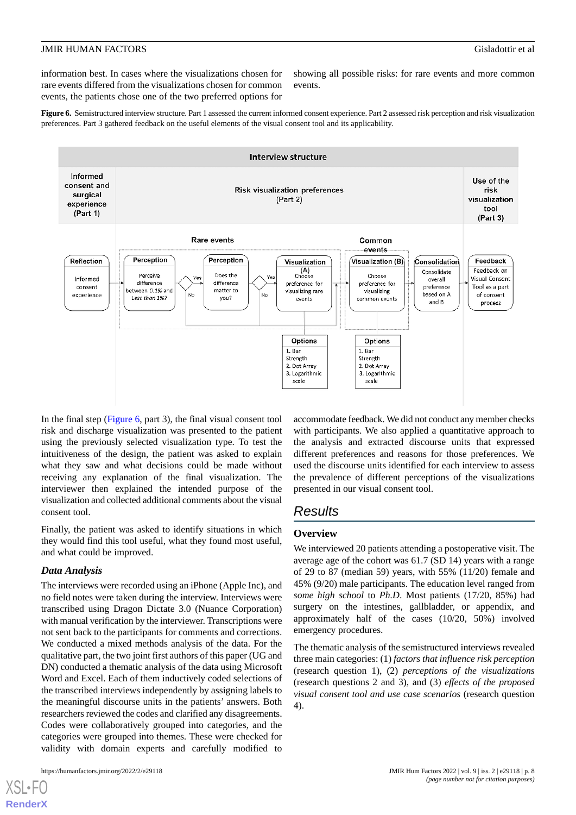information best. In cases where the visualizations chosen for rare events differed from the visualizations chosen for common events, the patients chose one of the two preferred options for

showing all possible risks: for rare events and more common events.

<span id="page-7-0"></span>**Figure 6.** Semistructured interview structure. Part 1 assessed the current informed consent experience. Part 2 assessed risk perception and risk visualization preferences. Part 3 gathered feedback on the useful elements of the visual consent tool and its applicability.



In the final step ([Figure 6](#page-7-0), part 3), the final visual consent tool risk and discharge visualization was presented to the patient using the previously selected visualization type. To test the intuitiveness of the design, the patient was asked to explain what they saw and what decisions could be made without receiving any explanation of the final visualization. The interviewer then explained the intended purpose of the visualization and collected additional comments about the visual consent tool.

Finally, the patient was asked to identify situations in which they would find this tool useful, what they found most useful, and what could be improved.

## *Data Analysis*

The interviews were recorded using an iPhone (Apple Inc), and no field notes were taken during the interview. Interviews were transcribed using Dragon Dictate 3.0 (Nuance Corporation) with manual verification by the interviewer. Transcriptions were not sent back to the participants for comments and corrections. We conducted a mixed methods analysis of the data. For the qualitative part, the two joint first authors of this paper (UG and DN) conducted a thematic analysis of the data using Microsoft Word and Excel. Each of them inductively coded selections of the transcribed interviews independently by assigning labels to the meaningful discourse units in the patients' answers. Both researchers reviewed the codes and clarified any disagreements. Codes were collaboratively grouped into categories, and the categories were grouped into themes. These were checked for validity with domain experts and carefully modified to

[XSL](http://www.w3.org/Style/XSL)•FO **[RenderX](http://www.renderx.com/)**

accommodate feedback. We did not conduct any member checks with participants. We also applied a quantitative approach to the analysis and extracted discourse units that expressed different preferences and reasons for those preferences. We used the discourse units identified for each interview to assess the prevalence of different perceptions of the visualizations presented in our visual consent tool.

## *Results*

#### **Overview**

We interviewed 20 patients attending a postoperative visit. The average age of the cohort was 61.7 (SD 14) years with a range of 29 to 87 (median 59) years, with 55% (11/20) female and 45% (9/20) male participants. The education level ranged from *some high school* to *Ph.D*. Most patients (17/20, 85%) had surgery on the intestines, gallbladder, or appendix, and approximately half of the cases (10/20, 50%) involved emergency procedures.

The thematic analysis of the semistructured interviews revealed three main categories: (1) *factors that influence risk perception* (research question 1), (2) *perceptions of the visualizations* (research questions 2 and 3), and (3) *effects of the proposed visual consent tool and use case scenarios* (research question 4).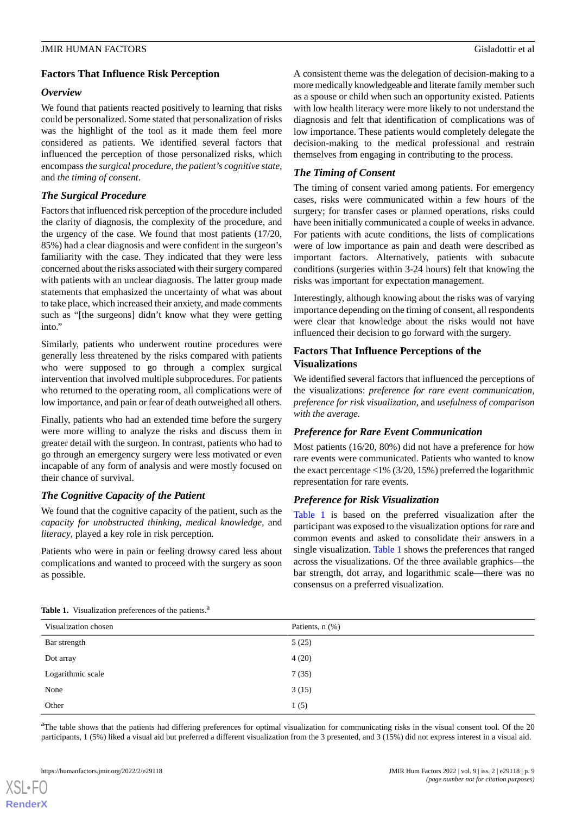## **Factors That Influence Risk Perception**

## *Overview*

We found that patients reacted positively to learning that risks could be personalized. Some stated that personalization of risks was the highlight of the tool as it made them feel more considered as patients. We identified several factors that influenced the perception of those personalized risks, which encompass *the surgical procedure*, *the patient's cognitive state,* and *the timing of consent*.

## *The Surgical Procedure*

Factors that influenced risk perception of the procedure included the clarity of diagnosis, the complexity of the procedure, and the urgency of the case. We found that most patients (17/20, 85%) had a clear diagnosis and were confident in the surgeon's familiarity with the case. They indicated that they were less concerned about the risks associated with their surgery compared with patients with an unclear diagnosis. The latter group made statements that emphasized the uncertainty of what was about to take place, which increased their anxiety, and made comments such as "[the surgeons] didn't know what they were getting into."

Similarly, patients who underwent routine procedures were generally less threatened by the risks compared with patients who were supposed to go through a complex surgical intervention that involved multiple subprocedures. For patients who returned to the operating room, all complications were of low importance, and pain or fear of death outweighed all others.

Finally, patients who had an extended time before the surgery were more willing to analyze the risks and discuss them in greater detail with the surgeon. In contrast, patients who had to go through an emergency surgery were less motivated or even incapable of any form of analysis and were mostly focused on their chance of survival.

## *The Cognitive Capacity of the Patient*

We found that the cognitive capacity of the patient, such as the *capacity for unobstructed thinking, medical knowledge,* and *literacy*, played a key role in risk perception*.*

<span id="page-8-0"></span>Patients who were in pain or feeling drowsy cared less about complications and wanted to proceed with the surgery as soon as possible.

A consistent theme was the delegation of decision-making to a more medically knowledgeable and literate family member such as a spouse or child when such an opportunity existed. Patients with low health literacy were more likely to not understand the diagnosis and felt that identification of complications was of low importance. These patients would completely delegate the decision-making to the medical professional and restrain themselves from engaging in contributing to the process.

## *The Timing of Consent*

The timing of consent varied among patients. For emergency cases, risks were communicated within a few hours of the surgery; for transfer cases or planned operations, risks could have been initially communicated a couple of weeks in advance. For patients with acute conditions, the lists of complications were of low importance as pain and death were described as important factors. Alternatively, patients with subacute conditions (surgeries within 3-24 hours) felt that knowing the risks was important for expectation management.

Interestingly, although knowing about the risks was of varying importance depending on the timing of consent, all respondents were clear that knowledge about the risks would not have influenced their decision to go forward with the surgery.

## **Factors That Influence Perceptions of the Visualizations**

We identified several factors that influenced the perceptions of the visualizations: *preference for rare event communication, preference for risk visualization,* and *usefulness of comparison with the average.*

## *Preference for Rare Event Communication*

Most patients (16/20, 80%) did not have a preference for how rare events were communicated. Patients who wanted to know the exact percentage  $\langle 1\% (3/20, 15\%)$  preferred the logarithmic representation for rare events.

## *Preference for Risk Visualization*

[Table 1](#page-8-0) is based on the preferred visualization after the participant was exposed to the visualization options for rare and common events and asked to consolidate their answers in a single visualization. [Table 1](#page-8-0) shows the preferences that ranged across the visualizations. Of the three available graphics—the bar strength, dot array, and logarithmic scale—there was no consensus on a preferred visualization.

| Table 1. Visualization preferences of the patients. <sup>a</sup> |  |  |
|------------------------------------------------------------------|--|--|
|                                                                  |  |  |

| Visualization chosen | Patients, n (%) |
|----------------------|-----------------|
| Bar strength         | 5(25)           |
| Dot array            | 4(20)           |
| Logarithmic scale    | 7(35)           |
| None                 | 3(15)           |
| Other                | 1(5)            |

<sup>a</sup>The table shows that the patients had differing preferences for optimal visualization for communicating risks in the visual consent tool. Of the 20 participants, 1 (5%) liked a visual aid but preferred a different visualization from the 3 presented, and 3 (15%) did not express interest in a visual aid.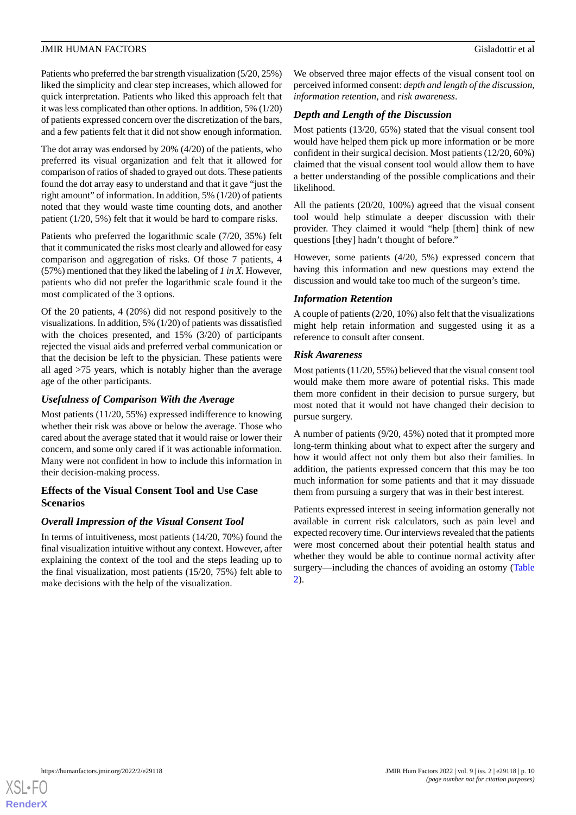Patients who preferred the bar strength visualization (5/20, 25%) liked the simplicity and clear step increases, which allowed for quick interpretation. Patients who liked this approach felt that it was less complicated than other options. In addition, 5% (1/20) of patients expressed concern over the discretization of the bars, and a few patients felt that it did not show enough information.

The dot array was endorsed by 20% (4/20) of the patients, who preferred its visual organization and felt that it allowed for comparison of ratios of shaded to grayed out dots. These patients found the dot array easy to understand and that it gave "just the right amount" of information. In addition, 5% (1/20) of patients noted that they would waste time counting dots, and another patient (1/20, 5%) felt that it would be hard to compare risks.

Patients who preferred the logarithmic scale (7/20, 35%) felt that it communicated the risks most clearly and allowed for easy comparison and aggregation of risks. Of those 7 patients, 4 (57%) mentioned that they liked the labeling of *1 in X.* However, patients who did not prefer the logarithmic scale found it the most complicated of the 3 options.

Of the 20 patients, 4 (20%) did not respond positively to the visualizations. In addition, 5% (1/20) of patients was dissatisfied with the choices presented, and 15% (3/20) of participants rejected the visual aids and preferred verbal communication or that the decision be left to the physician. These patients were all aged >75 years, which is notably higher than the average age of the other participants.

## *Usefulness of Comparison With the Average*

Most patients (11/20, 55%) expressed indifference to knowing whether their risk was above or below the average. Those who cared about the average stated that it would raise or lower their concern, and some only cared if it was actionable information. Many were not confident in how to include this information in their decision-making process.

## **Effects of the Visual Consent Tool and Use Case Scenarios**

## *Overall Impression of the Visual Consent Tool*

In terms of intuitiveness, most patients (14/20, 70%) found the final visualization intuitive without any context. However, after explaining the context of the tool and the steps leading up to the final visualization, most patients (15/20, 75%) felt able to make decisions with the help of the visualization.

We observed three major effects of the visual consent tool on perceived informed consent: *depth and length of the discussion*, *information retention,* and *risk awareness*.

## *Depth and Length of the Discussion*

Most patients (13/20, 65%) stated that the visual consent tool would have helped them pick up more information or be more confident in their surgical decision. Most patients (12/20, 60%) claimed that the visual consent tool would allow them to have a better understanding of the possible complications and their likelihood.

All the patients (20/20, 100%) agreed that the visual consent tool would help stimulate a deeper discussion with their provider. They claimed it would "help [them] think of new questions [they] hadn't thought of before."

However, some patients (4/20, 5%) expressed concern that having this information and new questions may extend the discussion and would take too much of the surgeon's time.

## *Information Retention*

A couple of patients (2/20, 10%) also felt that the visualizations might help retain information and suggested using it as a reference to consult after consent.

## *Risk Awareness*

Most patients (11/20, 55%) believed that the visual consent tool would make them more aware of potential risks. This made them more confident in their decision to pursue surgery, but most noted that it would not have changed their decision to pursue surgery.

A number of patients (9/20, 45%) noted that it prompted more long-term thinking about what to expect after the surgery and how it would affect not only them but also their families. In addition, the patients expressed concern that this may be too much information for some patients and that it may dissuade them from pursuing a surgery that was in their best interest.

Patients expressed interest in seeing information generally not available in current risk calculators, such as pain level and expected recovery time. Our interviews revealed that the patients were most concerned about their potential health status and whether they would be able to continue normal activity after surgery—including the chances of avoiding an ostomy ([Table](#page-10-0) [2\)](#page-10-0).

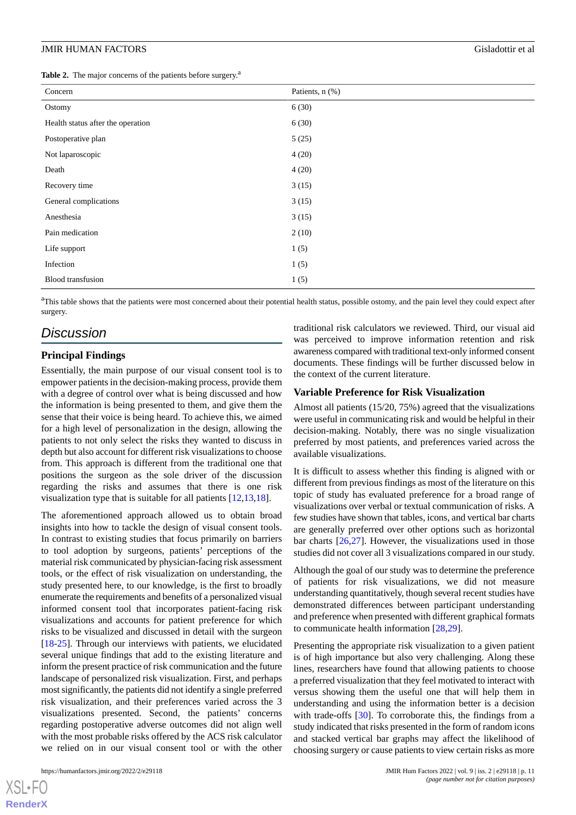<span id="page-10-0"></span>Table 2. The major concerns of the patients before surgery.<sup>2</sup>

| Concern                           | Patients, n (%) |
|-----------------------------------|-----------------|
| Ostomy                            | 6(30)           |
| Health status after the operation | 6(30)           |
| Postoperative plan                | 5(25)           |
| Not laparoscopic                  | 4(20)           |
| Death                             | 4(20)           |
| Recovery time                     | 3(15)           |
| General complications             | 3(15)           |
| Anesthesia                        | 3(15)           |
| Pain medication                   | 2(10)           |
| Life support                      | 1(5)            |
| Infection                         | 1(5)            |
| <b>Blood</b> transfusion          | 1(5)            |

<sup>a</sup>This table shows that the patients were most concerned about their potential health status, possible ostomy, and the pain level they could expect after surgery.

## *Discussion*

#### **Principal Findings**

Essentially, the main purpose of our visual consent tool is to empower patients in the decision-making process, provide them with a degree of control over what is being discussed and how the information is being presented to them, and give them the sense that their voice is being heard. To achieve this, we aimed for a high level of personalization in the design, allowing the patients to not only select the risks they wanted to discuss in depth but also account for different risk visualizations to choose from. This approach is different from the traditional one that positions the surgeon as the sole driver of the discussion regarding the risks and assumes that there is one risk visualization type that is suitable for all patients [[12,](#page-13-7)[13](#page-13-6),[18\]](#page-13-11).

The aforementioned approach allowed us to obtain broad insights into how to tackle the design of visual consent tools. In contrast to existing studies that focus primarily on barriers to tool adoption by surgeons, patients' perceptions of the material risk communicated by physician-facing risk assessment tools, or the effect of risk visualization on understanding, the study presented here, to our knowledge, is the first to broadly enumerate the requirements and benefits of a personalized visual informed consent tool that incorporates patient-facing risk visualizations and accounts for patient preference for which risks to be visualized and discussed in detail with the surgeon [[18](#page-13-11)[-25](#page-13-12)]. Through our interviews with patients, we elucidated several unique findings that add to the existing literature and inform the present practice of risk communication and the future landscape of personalized risk visualization. First, and perhaps most significantly, the patients did not identify a single preferred risk visualization, and their preferences varied across the 3 visualizations presented. Second, the patients' concerns regarding postoperative adverse outcomes did not align well with the most probable risks offered by the ACS risk calculator we relied on in our visual consent tool or with the other

[XSL](http://www.w3.org/Style/XSL)•FO **[RenderX](http://www.renderx.com/)**

traditional risk calculators we reviewed. Third, our visual aid was perceived to improve information retention and risk awareness compared with traditional text-only informed consent documents. These findings will be further discussed below in the context of the current literature.

#### **Variable Preference for Risk Visualization**

Almost all patients (15/20, 75%) agreed that the visualizations were useful in communicating risk and would be helpful in their decision-making. Notably, there was no single visualization preferred by most patients, and preferences varied across the available visualizations.

It is difficult to assess whether this finding is aligned with or different from previous findings as most of the literature on this topic of study has evaluated preference for a broad range of visualizations over verbal or textual communication of risks. A few studies have shown that tables, icons, and vertical bar charts are generally preferred over other options such as horizontal bar charts  $[26,27]$  $[26,27]$  $[26,27]$  $[26,27]$ . However, the visualizations used in those studies did not cover all 3 visualizations compared in our study.

Although the goal of our study was to determine the preference of patients for risk visualizations, we did not measure understanding quantitatively, though several recent studies have demonstrated differences between participant understanding and preference when presented with different graphical formats to communicate health information [\[28](#page-14-2),[29\]](#page-14-3).

Presenting the appropriate risk visualization to a given patient is of high importance but also very challenging. Along these lines, researchers have found that allowing patients to choose a preferred visualization that they feel motivated to interact with versus showing them the useful one that will help them in understanding and using the information better is a decision with trade-offs [\[30](#page-14-4)]. To corroborate this, the findings from a study indicated that risks presented in the form of random icons and stacked vertical bar graphs may affect the likelihood of choosing surgery or cause patients to view certain risks as more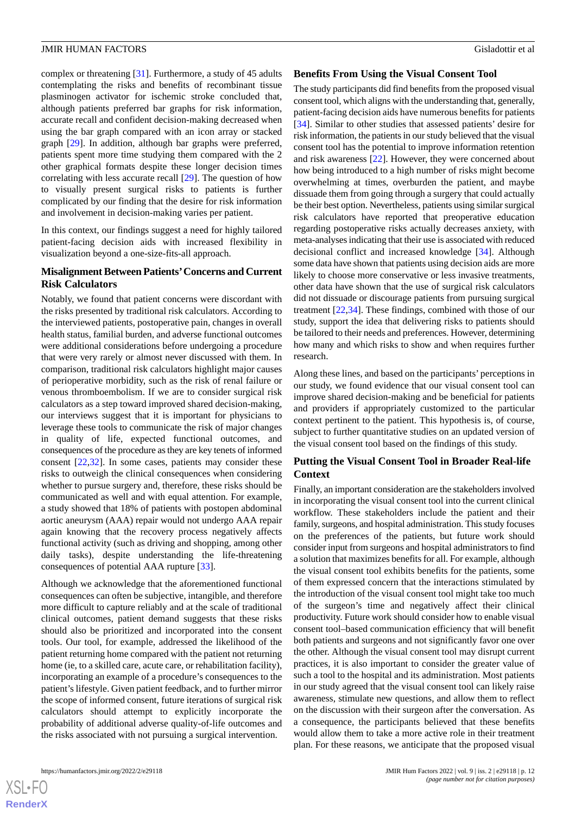complex or threatening [[31\]](#page-14-5). Furthermore, a study of 45 adults contemplating the risks and benefits of recombinant tissue plasminogen activator for ischemic stroke concluded that, although patients preferred bar graphs for risk information, accurate recall and confident decision-making decreased when using the bar graph compared with an icon array or stacked graph [\[29](#page-14-3)]. In addition, although bar graphs were preferred, patients spent more time studying them compared with the 2 other graphical formats despite these longer decision times correlating with less accurate recall [[29\]](#page-14-3). The question of how to visually present surgical risks to patients is further complicated by our finding that the desire for risk information and involvement in decision-making varies per patient.

In this context, our findings suggest a need for highly tailored patient-facing decision aids with increased flexibility in visualization beyond a one-size-fits-all approach.

## **Misalignment Between Patients'Concerns and Current Risk Calculators**

Notably, we found that patient concerns were discordant with the risks presented by traditional risk calculators. According to the interviewed patients, postoperative pain, changes in overall health status, familial burden, and adverse functional outcomes were additional considerations before undergoing a procedure that were very rarely or almost never discussed with them. In comparison, traditional risk calculators highlight major causes of perioperative morbidity, such as the risk of renal failure or venous thromboembolism. If we are to consider surgical risk calculators as a step toward improved shared decision-making, our interviews suggest that it is important for physicians to leverage these tools to communicate the risk of major changes in quality of life, expected functional outcomes, and consequences of the procedure as they are key tenets of informed consent [\[22](#page-13-13),[32\]](#page-14-6). In some cases, patients may consider these risks to outweigh the clinical consequences when considering whether to pursue surgery and, therefore, these risks should be communicated as well and with equal attention. For example, a study showed that 18% of patients with postopen abdominal aortic aneurysm (AAA) repair would not undergo AAA repair again knowing that the recovery process negatively affects functional activity (such as driving and shopping, among other daily tasks), despite understanding the life-threatening consequences of potential AAA rupture [\[33](#page-14-7)].

Although we acknowledge that the aforementioned functional consequences can often be subjective, intangible, and therefore more difficult to capture reliably and at the scale of traditional clinical outcomes, patient demand suggests that these risks should also be prioritized and incorporated into the consent tools. Our tool, for example, addressed the likelihood of the patient returning home compared with the patient not returning home (ie, to a skilled care, acute care, or rehabilitation facility), incorporating an example of a procedure's consequences to the patient's lifestyle. Given patient feedback, and to further mirror the scope of informed consent, future iterations of surgical risk calculators should attempt to explicitly incorporate the probability of additional adverse quality-of-life outcomes and the risks associated with not pursuing a surgical intervention.

### **Benefits From Using the Visual Consent Tool**

The study participants did find benefits from the proposed visual consent tool, which aligns with the understanding that, generally, patient-facing decision aids have numerous benefits for patients [[34\]](#page-14-8). Similar to other studies that assessed patients' desire for risk information, the patients in our study believed that the visual consent tool has the potential to improve information retention and risk awareness [\[22](#page-13-13)]. However, they were concerned about how being introduced to a high number of risks might become overwhelming at times, overburden the patient, and maybe dissuade them from going through a surgery that could actually be their best option. Nevertheless, patients using similar surgical risk calculators have reported that preoperative education regarding postoperative risks actually decreases anxiety, with meta-analyses indicating that their use is associated with reduced decisional conflict and increased knowledge [[34\]](#page-14-8). Although some data have shown that patients using decision aids are more likely to choose more conservative or less invasive treatments, other data have shown that the use of surgical risk calculators did not dissuade or discourage patients from pursuing surgical treatment [\[22](#page-13-13),[34\]](#page-14-8). These findings, combined with those of our study, support the idea that delivering risks to patients should be tailored to their needs and preferences. However, determining how many and which risks to show and when requires further research.

Along these lines, and based on the participants' perceptions in our study, we found evidence that our visual consent tool can improve shared decision-making and be beneficial for patients and providers if appropriately customized to the particular context pertinent to the patient. This hypothesis is, of course, subject to further quantitative studies on an updated version of the visual consent tool based on the findings of this study.

## **Putting the Visual Consent Tool in Broader Real-life Context**

Finally, an important consideration are the stakeholders involved in incorporating the visual consent tool into the current clinical workflow. These stakeholders include the patient and their family, surgeons, and hospital administration. This study focuses on the preferences of the patients, but future work should consider input from surgeons and hospital administrators to find a solution that maximizes benefits for all. For example, although the visual consent tool exhibits benefits for the patients, some of them expressed concern that the interactions stimulated by the introduction of the visual consent tool might take too much of the surgeon's time and negatively affect their clinical productivity. Future work should consider how to enable visual consent tool–based communication efficiency that will benefit both patients and surgeons and not significantly favor one over the other. Although the visual consent tool may disrupt current practices, it is also important to consider the greater value of such a tool to the hospital and its administration. Most patients in our study agreed that the visual consent tool can likely raise awareness, stimulate new questions, and allow them to reflect on the discussion with their surgeon after the conversation. As a consequence, the participants believed that these benefits would allow them to take a more active role in their treatment plan. For these reasons, we anticipate that the proposed visual

 $XS$  $\cdot$ FC **[RenderX](http://www.renderx.com/)**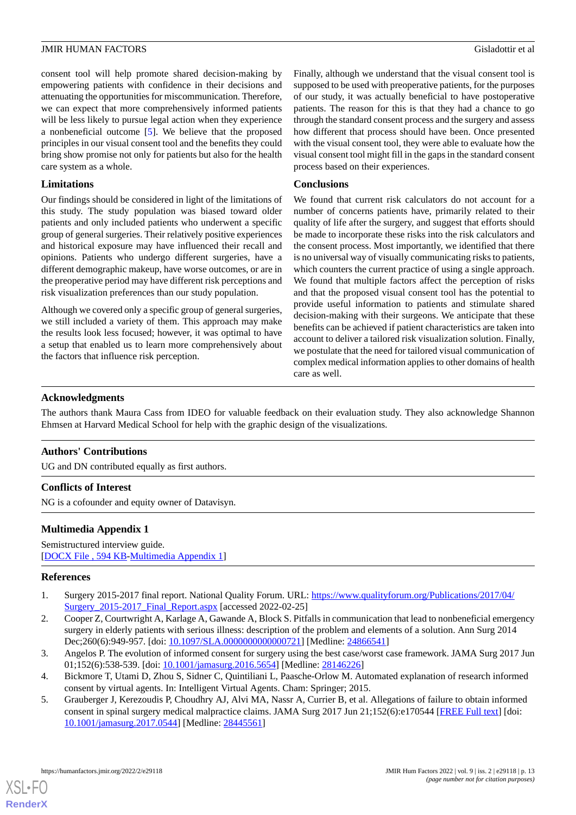consent tool will help promote shared decision-making by empowering patients with confidence in their decisions and attenuating the opportunities for miscommunication. Therefore, we can expect that more comprehensively informed patients will be less likely to pursue legal action when they experience a nonbeneficial outcome [[5\]](#page-12-4). We believe that the proposed principles in our visual consent tool and the benefits they could bring show promise not only for patients but also for the health care system as a whole.

## **Limitations**

Our findings should be considered in light of the limitations of this study. The study population was biased toward older patients and only included patients who underwent a specific group of general surgeries. Their relatively positive experiences and historical exposure may have influenced their recall and opinions. Patients who undergo different surgeries, have a different demographic makeup, have worse outcomes, or are in the preoperative period may have different risk perceptions and risk visualization preferences than our study population.

Although we covered only a specific group of general surgeries, we still included a variety of them. This approach may make the results look less focused; however, it was optimal to have a setup that enabled us to learn more comprehensively about the factors that influence risk perception.

Finally, although we understand that the visual consent tool is supposed to be used with preoperative patients, for the purposes of our study, it was actually beneficial to have postoperative patients. The reason for this is that they had a chance to go through the standard consent process and the surgery and assess how different that process should have been. Once presented with the visual consent tool, they were able to evaluate how the visual consent tool might fill in the gaps in the standard consent process based on their experiences.

## **Conclusions**

We found that current risk calculators do not account for a number of concerns patients have, primarily related to their quality of life after the surgery, and suggest that efforts should be made to incorporate these risks into the risk calculators and the consent process. Most importantly, we identified that there is no universal way of visually communicating risks to patients, which counters the current practice of using a single approach. We found that multiple factors affect the perception of risks and that the proposed visual consent tool has the potential to provide useful information to patients and stimulate shared decision-making with their surgeons. We anticipate that these benefits can be achieved if patient characteristics are taken into account to deliver a tailored risk visualization solution. Finally, we postulate that the need for tailored visual communication of complex medical information applies to other domains of health care as well.

## **Acknowledgments**

The authors thank Maura Cass from IDEO for valuable feedback on their evaluation study. They also acknowledge Shannon Ehmsen at Harvard Medical School for help with the graphic design of the visualizations.

## **Authors' Contributions**

<span id="page-12-5"></span>UG and DN contributed equally as first authors.

## **Conflicts of Interest**

NG is a cofounder and equity owner of Datavisyn.

## <span id="page-12-0"></span>**Multimedia Appendix 1**

<span id="page-12-1"></span>Semistructured interview guide. [[DOCX File , 594 KB-Multimedia Appendix 1\]](https://jmir.org/api/download?alt_name=humanfactors_v9i2e29118_app1.docx&filename=f783951782ff8b84d652d23d464c6590.docx)

## **References**

- <span id="page-12-2"></span>1. Surgery 2015-2017 final report. National Quality Forum. URL: [https://www.qualityforum.org/Publications/2017/04/](https://www.qualityforum.org/Publications/2017/04/Surgery_2015-2017_Final_Report.aspx) Surgery 2015-2017 Final Report.aspx [accessed 2022-02-25]
- <span id="page-12-4"></span><span id="page-12-3"></span>2. Cooper Z, Courtwright A, Karlage A, Gawande A, Block S. Pitfalls in communication that lead to nonbeneficial emergency surgery in elderly patients with serious illness: description of the problem and elements of a solution. Ann Surg 2014 Dec;260(6):949-957. [doi: [10.1097/SLA.0000000000000721](http://dx.doi.org/10.1097/SLA.0000000000000721)] [Medline: [24866541](http://www.ncbi.nlm.nih.gov/entrez/query.fcgi?cmd=Retrieve&db=PubMed&list_uids=24866541&dopt=Abstract)]
- 3. Angelos P. The evolution of informed consent for surgery using the best case/worst case framework. JAMA Surg 2017 Jun 01;152(6):538-539. [doi: 10.1001/jamasurg. 2016. 5654] [Medline: [28146226\]](http://www.ncbi.nlm.nih.gov/entrez/query.fcgi?cmd=Retrieve&db=PubMed&list_uids=28146226&dopt=Abstract)
- 4. Bickmore T, Utami D, Zhou S, Sidner C, Quintiliani L, Paasche-Orlow M. Automated explanation of research informed consent by virtual agents. In: Intelligent Virtual Agents. Cham: Springer; 2015.
- 5. Grauberger J, Kerezoudis P, Choudhry AJ, Alvi MA, Nassr A, Currier B, et al. Allegations of failure to obtain informed consent in spinal surgery medical malpractice claims. JAMA Surg 2017 Jun 21;152(6):e170544 [[FREE Full text](http://europepmc.org/abstract/MED/28445561)] [doi: [10.1001/jamasurg.2017.0544](http://dx.doi.org/10.1001/jamasurg.2017.0544)] [Medline: [28445561](http://www.ncbi.nlm.nih.gov/entrez/query.fcgi?cmd=Retrieve&db=PubMed&list_uids=28445561&dopt=Abstract)]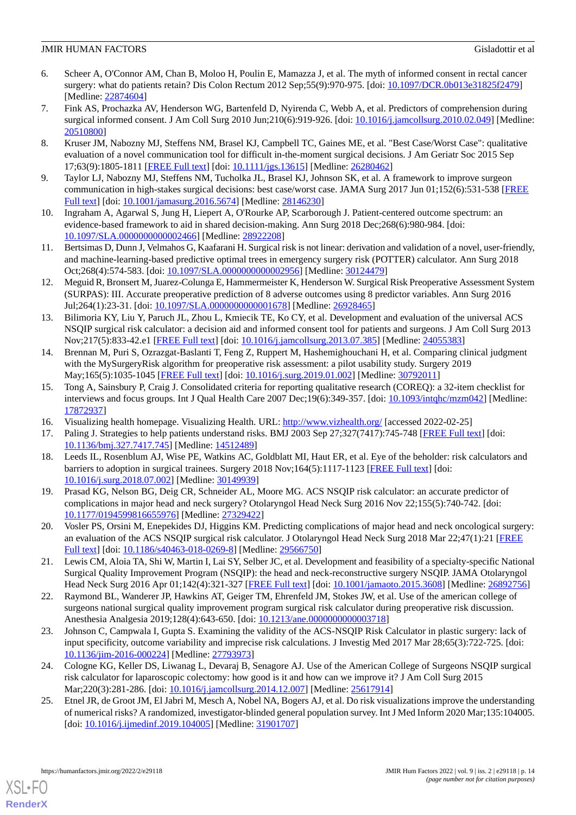- <span id="page-13-0"></span>6. Scheer A, O'Connor AM, Chan B, Moloo H, Poulin E, Mamazza J, et al. The myth of informed consent in rectal cancer surgery: what do patients retain? Dis Colon Rectum 2012 Sep;55(9):970-975. [doi: [10.1097/DCR.0b013e31825f2479\]](http://dx.doi.org/10.1097/DCR.0b013e31825f2479) [Medline: [22874604](http://www.ncbi.nlm.nih.gov/entrez/query.fcgi?cmd=Retrieve&db=PubMed&list_uids=22874604&dopt=Abstract)]
- <span id="page-13-1"></span>7. Fink AS, Prochazka AV, Henderson WG, Bartenfeld D, Nyirenda C, Webb A, et al. Predictors of comprehension during surgical informed consent. J Am Coll Surg 2010 Jun;210(6):919-926. [doi: [10.1016/j.jamcollsurg.2010.02.049\]](http://dx.doi.org/10.1016/j.jamcollsurg.2010.02.049) [Medline: [20510800](http://www.ncbi.nlm.nih.gov/entrez/query.fcgi?cmd=Retrieve&db=PubMed&list_uids=20510800&dopt=Abstract)]
- <span id="page-13-2"></span>8. Kruser JM, Nabozny MJ, Steffens NM, Brasel KJ, Campbell TC, Gaines ME, et al. "Best Case/Worst Case": qualitative evaluation of a novel communication tool for difficult in-the-moment surgical decisions. J Am Geriatr Soc 2015 Sep 17;63(9):1805-1811 [[FREE Full text](http://europepmc.org/abstract/MED/26280462)] [doi: [10.1111/jgs.13615\]](http://dx.doi.org/10.1111/jgs.13615) [Medline: [26280462\]](http://www.ncbi.nlm.nih.gov/entrez/query.fcgi?cmd=Retrieve&db=PubMed&list_uids=26280462&dopt=Abstract)
- <span id="page-13-3"></span>9. Taylor LJ, Nabozny MJ, Steffens NM, Tucholka JL, Brasel KJ, Johnson SK, et al. A framework to improve surgeon communication in high-stakes surgical decisions: best case/worst case. JAMA Surg 2017 Jun 01;152(6):531-538 [[FREE](http://europepmc.org/abstract/MED/28146230) [Full text\]](http://europepmc.org/abstract/MED/28146230) [doi: [10.1001/jamasurg.2016.5674\]](http://dx.doi.org/10.1001/jamasurg.2016.5674) [Medline: [28146230\]](http://www.ncbi.nlm.nih.gov/entrez/query.fcgi?cmd=Retrieve&db=PubMed&list_uids=28146230&dopt=Abstract)
- <span id="page-13-4"></span>10. Ingraham A, Agarwal S, Jung H, Liepert A, O'Rourke AP, Scarborough J. Patient-centered outcome spectrum: an evidence-based framework to aid in shared decision-making. Ann Surg 2018 Dec;268(6):980-984. [doi: [10.1097/SLA.0000000000002466](http://dx.doi.org/10.1097/SLA.0000000000002466)] [Medline: [28922208\]](http://www.ncbi.nlm.nih.gov/entrez/query.fcgi?cmd=Retrieve&db=PubMed&list_uids=28922208&dopt=Abstract)
- <span id="page-13-7"></span>11. Bertsimas D, Dunn J, Velmahos G, Kaafarani H. Surgical risk is not linear: derivation and validation of a novel, user-friendly, and machine-learning-based predictive optimal trees in emergency surgery risk (POTTER) calculator. Ann Surg 2018 Oct;268(4):574-583. [doi: [10.1097/SLA.0000000000002956\]](http://dx.doi.org/10.1097/SLA.0000000000002956) [Medline: [30124479](http://www.ncbi.nlm.nih.gov/entrez/query.fcgi?cmd=Retrieve&db=PubMed&list_uids=30124479&dopt=Abstract)]
- <span id="page-13-6"></span>12. Meguid R, Bronsert M, Juarez-Colunga E, Hammermeister K, Henderson W. Surgical Risk Preoperative Assessment System (SURPAS): III. Accurate preoperative prediction of 8 adverse outcomes using 8 predictor variables. Ann Surg 2016 Jul;264(1):23-31. [doi: [10.1097/SLA.0000000000001678\]](http://dx.doi.org/10.1097/SLA.0000000000001678) [Medline: [26928465\]](http://www.ncbi.nlm.nih.gov/entrez/query.fcgi?cmd=Retrieve&db=PubMed&list_uids=26928465&dopt=Abstract)
- <span id="page-13-5"></span>13. Bilimoria KY, Liu Y, Paruch JL, Zhou L, Kmiecik TE, Ko CY, et al. Development and evaluation of the universal ACS NSQIP surgical risk calculator: a decision aid and informed consent tool for patients and surgeons. J Am Coll Surg 2013 Nov;217(5):833-42.e1 [[FREE Full text](http://europepmc.org/abstract/MED/24055383)] [doi: [10.1016/j.jamcollsurg.2013.07.385\]](http://dx.doi.org/10.1016/j.jamcollsurg.2013.07.385) [Medline: [24055383](http://www.ncbi.nlm.nih.gov/entrez/query.fcgi?cmd=Retrieve&db=PubMed&list_uids=24055383&dopt=Abstract)]
- <span id="page-13-8"></span>14. Brennan M, Puri S, Ozrazgat-Baslanti T, Feng Z, Ruppert M, Hashemighouchani H, et al. Comparing clinical judgment with the MySurgeryRisk algorithm for preoperative risk assessment: a pilot usability study. Surgery 2019 May;165(5):1035-1045 [\[FREE Full text\]](http://europepmc.org/abstract/MED/30792011) [doi: [10.1016/j.surg.2019.01.002\]](http://dx.doi.org/10.1016/j.surg.2019.01.002) [Medline: [30792011\]](http://www.ncbi.nlm.nih.gov/entrez/query.fcgi?cmd=Retrieve&db=PubMed&list_uids=30792011&dopt=Abstract)
- <span id="page-13-10"></span><span id="page-13-9"></span>15. Tong A, Sainsbury P, Craig J. Consolidated criteria for reporting qualitative research (COREQ): a 32-item checklist for interviews and focus groups. Int J Qual Health Care 2007 Dec;19(6):349-357. [doi: [10.1093/intqhc/mzm042\]](http://dx.doi.org/10.1093/intqhc/mzm042) [Medline: [17872937](http://www.ncbi.nlm.nih.gov/entrez/query.fcgi?cmd=Retrieve&db=PubMed&list_uids=17872937&dopt=Abstract)]
- <span id="page-13-11"></span>16. Visualizing health homepage. Visualizing Health. URL:<http://www.vizhealth.org/> [accessed 2022-02-25]
- 17. Paling J. Strategies to help patients understand risks. BMJ 2003 Sep 27;327(7417):745-748 [\[FREE Full text\]](http://europepmc.org/abstract/MED/14512489) [doi: [10.1136/bmj.327.7417.745\]](http://dx.doi.org/10.1136/bmj.327.7417.745) [Medline: [14512489\]](http://www.ncbi.nlm.nih.gov/entrez/query.fcgi?cmd=Retrieve&db=PubMed&list_uids=14512489&dopt=Abstract)
- 18. Leeds IL, Rosenblum AJ, Wise PE, Watkins AC, Goldblatt MI, Haut ER, et al. Eye of the beholder: risk calculators and barriers to adoption in surgical trainees. Surgery 2018 Nov;164(5):1117-1123 [[FREE Full text](http://europepmc.org/abstract/MED/30149939)] [doi: [10.1016/j.surg.2018.07.002\]](http://dx.doi.org/10.1016/j.surg.2018.07.002) [Medline: [30149939](http://www.ncbi.nlm.nih.gov/entrez/query.fcgi?cmd=Retrieve&db=PubMed&list_uids=30149939&dopt=Abstract)]
- 19. Prasad KG, Nelson BG, Deig CR, Schneider AL, Moore MG. ACS NSQIP risk calculator: an accurate predictor of complications in major head and neck surgery? Otolaryngol Head Neck Surg 2016 Nov 22;155(5):740-742. [doi: [10.1177/0194599816655976\]](http://dx.doi.org/10.1177/0194599816655976) [Medline: [27329422\]](http://www.ncbi.nlm.nih.gov/entrez/query.fcgi?cmd=Retrieve&db=PubMed&list_uids=27329422&dopt=Abstract)
- <span id="page-13-13"></span>20. Vosler PS, Orsini M, Enepekides DJ, Higgins KM. Predicting complications of major head and neck oncological surgery: an evaluation of the ACS NSQIP surgical risk calculator. J Otolaryngol Head Neck Surg 2018 Mar 22;47(1):21 [\[FREE](https://journalotohns.biomedcentral.com/articles/10.1186/s40463-018-0269-8) [Full text\]](https://journalotohns.biomedcentral.com/articles/10.1186/s40463-018-0269-8) [doi: [10.1186/s40463-018-0269-8](http://dx.doi.org/10.1186/s40463-018-0269-8)] [Medline: [29566750](http://www.ncbi.nlm.nih.gov/entrez/query.fcgi?cmd=Retrieve&db=PubMed&list_uids=29566750&dopt=Abstract)]
- 21. Lewis CM, Aloia TA, Shi W, Martin I, Lai SY, Selber JC, et al. Development and feasibility of a specialty-specific National Surgical Quality Improvement Program (NSQIP): the head and neck-reconstructive surgery NSQIP. JAMA Otolaryngol Head Neck Surg 2016 Apr 01;142(4):321-327 [[FREE Full text](http://europepmc.org/abstract/MED/26892756)] [doi: [10.1001/jamaoto.2015.3608](http://dx.doi.org/10.1001/jamaoto.2015.3608)] [Medline: [26892756\]](http://www.ncbi.nlm.nih.gov/entrez/query.fcgi?cmd=Retrieve&db=PubMed&list_uids=26892756&dopt=Abstract)
- 22. Raymond BL, Wanderer JP, Hawkins AT, Geiger TM, Ehrenfeld JM, Stokes JW, et al. Use of the american college of surgeons national surgical quality improvement program surgical risk calculator during preoperative risk discussion. Anesthesia Analgesia 2019;128(4):643-650. [doi: [10.1213/ane.0000000000003718\]](http://dx.doi.org/10.1213/ane.0000000000003718)
- <span id="page-13-12"></span>23. Johnson C, Campwala I, Gupta S. Examining the validity of the ACS-NSQIP Risk Calculator in plastic surgery: lack of input specificity, outcome variability and imprecise risk calculations. J Investig Med 2017 Mar 28;65(3):722-725. [doi: [10.1136/jim-2016-000224\]](http://dx.doi.org/10.1136/jim-2016-000224) [Medline: [27793973\]](http://www.ncbi.nlm.nih.gov/entrez/query.fcgi?cmd=Retrieve&db=PubMed&list_uids=27793973&dopt=Abstract)
- 24. Cologne KG, Keller DS, Liwanag L, Devaraj B, Senagore AJ. Use of the American College of Surgeons NSQIP surgical risk calculator for laparoscopic colectomy: how good is it and how can we improve it? J Am Coll Surg 2015 Mar;220(3):281-286. [doi: [10.1016/j.jamcollsurg.2014.12.007](http://dx.doi.org/10.1016/j.jamcollsurg.2014.12.007)] [Medline: [25617914\]](http://www.ncbi.nlm.nih.gov/entrez/query.fcgi?cmd=Retrieve&db=PubMed&list_uids=25617914&dopt=Abstract)
- 25. Etnel JR, de Groot JM, El Jabri M, Mesch A, Nobel NA, Bogers AJ, et al. Do risk visualizations improve the understanding of numerical risks? A randomized, investigator-blinded general population survey. Int J Med Inform 2020 Mar;135:104005. [doi: [10.1016/j.ijmedinf.2019.104005](http://dx.doi.org/10.1016/j.ijmedinf.2019.104005)] [Medline: [31901707](http://www.ncbi.nlm.nih.gov/entrez/query.fcgi?cmd=Retrieve&db=PubMed&list_uids=31901707&dopt=Abstract)]